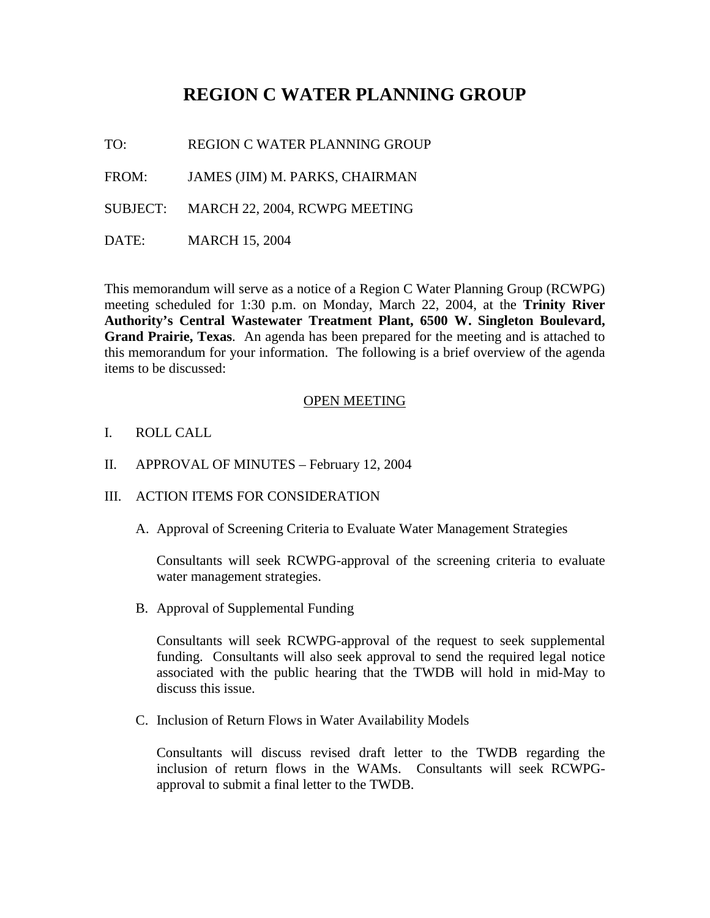# **REGION C WATER PLANNING GROUP**

TO: REGION C WATER PLANNING GROUP

FROM: JAMES (JIM) M. PARKS, CHAIRMAN

SUBJECT: MARCH 22, 2004, RCWPG MEETING

DATE: MARCH 15, 2004

This memorandum will serve as a notice of a Region C Water Planning Group (RCWPG) meeting scheduled for 1:30 p.m. on Monday, March 22, 2004, at the **Trinity River Authority's Central Wastewater Treatment Plant, 6500 W. Singleton Boulevard, Grand Prairie, Texas**. An agenda has been prepared for the meeting and is attached to this memorandum for your information. The following is a brief overview of the agenda items to be discussed:

#### OPEN MEETING

- I. ROLL CALL
- II. APPROVAL OF MINUTES February 12, 2004
- III. ACTION ITEMS FOR CONSIDERATION
	- A. Approval of Screening Criteria to Evaluate Water Management Strategies

Consultants will seek RCWPG-approval of the screening criteria to evaluate water management strategies.

B. Approval of Supplemental Funding

Consultants will seek RCWPG-approval of the request to seek supplemental funding. Consultants will also seek approval to send the required legal notice associated with the public hearing that the TWDB will hold in mid-May to discuss this issue.

C. Inclusion of Return Flows in Water Availability Models

Consultants will discuss revised draft letter to the TWDB regarding the inclusion of return flows in the WAMs. Consultants will seek RCWPGapproval to submit a final letter to the TWDB.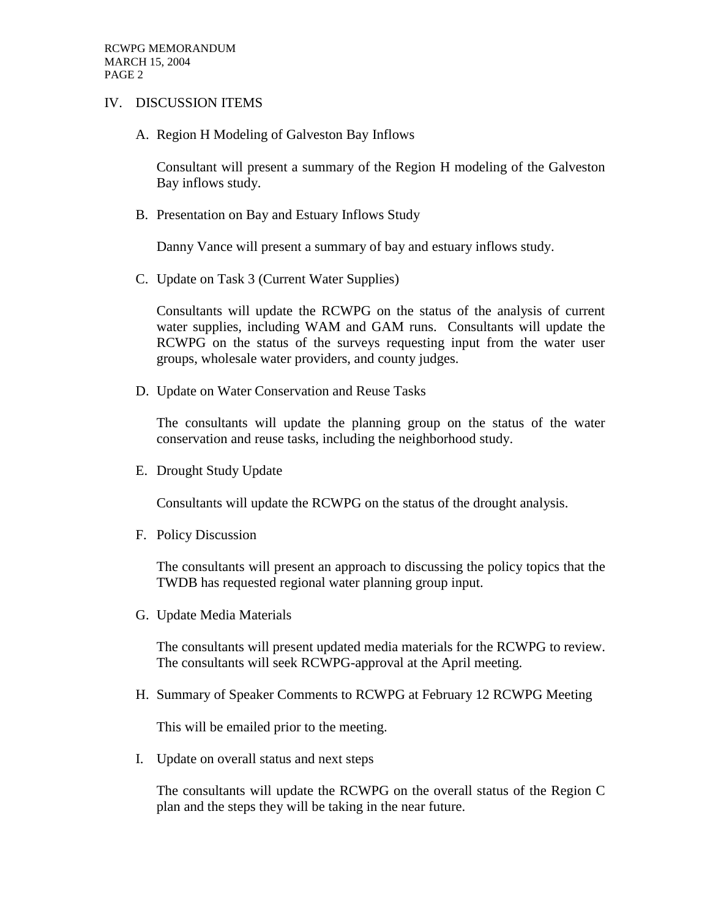#### IV. DISCUSSION ITEMS

A. Region H Modeling of Galveston Bay Inflows

Consultant will present a summary of the Region H modeling of the Galveston Bay inflows study.

B. Presentation on Bay and Estuary Inflows Study

Danny Vance will present a summary of bay and estuary inflows study.

C. Update on Task 3 (Current Water Supplies)

Consultants will update the RCWPG on the status of the analysis of current water supplies, including WAM and GAM runs. Consultants will update the RCWPG on the status of the surveys requesting input from the water user groups, wholesale water providers, and county judges.

D. Update on Water Conservation and Reuse Tasks

The consultants will update the planning group on the status of the water conservation and reuse tasks, including the neighborhood study.

E. Drought Study Update

Consultants will update the RCWPG on the status of the drought analysis.

F. Policy Discussion

The consultants will present an approach to discussing the policy topics that the TWDB has requested regional water planning group input.

G. Update Media Materials

The consultants will present updated media materials for the RCWPG to review. The consultants will seek RCWPG-approval at the April meeting.

H. Summary of Speaker Comments to RCWPG at February 12 RCWPG Meeting

This will be emailed prior to the meeting.

I. Update on overall status and next steps

The consultants will update the RCWPG on the overall status of the Region C plan and the steps they will be taking in the near future.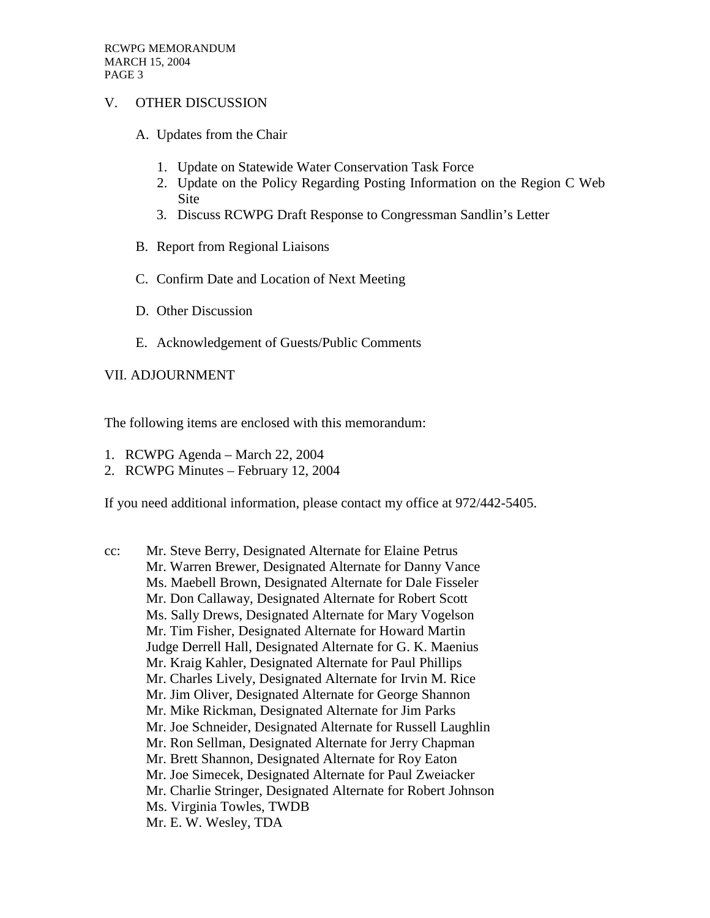### V. OTHER DISCUSSION

- A. Updates from the Chair
	- 1. Update on Statewide Water Conservation Task Force
	- 2. Update on the Policy Regarding Posting Information on the Region C Web Site
	- 3. Discuss RCWPG Draft Response to Congressman Sandlin's Letter
- B. Report from Regional Liaisons
- C. Confirm Date and Location of Next Meeting
- D. Other Discussion
- E. Acknowledgement of Guests/Public Comments

## VII. ADJOURNMENT

The following items are enclosed with this memorandum:

- 1. RCWPG Agenda March 22, 2004
- 2. RCWPG Minutes February 12, 2004

If you need additional information, please contact my office at 972/442-5405.

cc: Mr. Steve Berry, Designated Alternate for Elaine Petrus Mr. Warren Brewer, Designated Alternate for Danny Vance Ms. Maebell Brown, Designated Alternate for Dale Fisseler Mr. Don Callaway, Designated Alternate for Robert Scott Ms. Sally Drews, Designated Alternate for Mary Vogelson Mr. Tim Fisher, Designated Alternate for Howard Martin Judge Derrell Hall, Designated Alternate for G. K. Maenius Mr. Kraig Kahler, Designated Alternate for Paul Phillips Mr. Charles Lively, Designated Alternate for Irvin M. Rice Mr. Jim Oliver, Designated Alternate for George Shannon Mr. Mike Rickman, Designated Alternate for Jim Parks Mr. Joe Schneider, Designated Alternate for Russell Laughlin Mr. Ron Sellman, Designated Alternate for Jerry Chapman Mr. Brett Shannon, Designated Alternate for Roy Eaton Mr. Joe Simecek, Designated Alternate for Paul Zweiacker Mr. Charlie Stringer, Designated Alternate for Robert Johnson Ms. Virginia Towles, TWDB Mr. E. W. Wesley, TDA